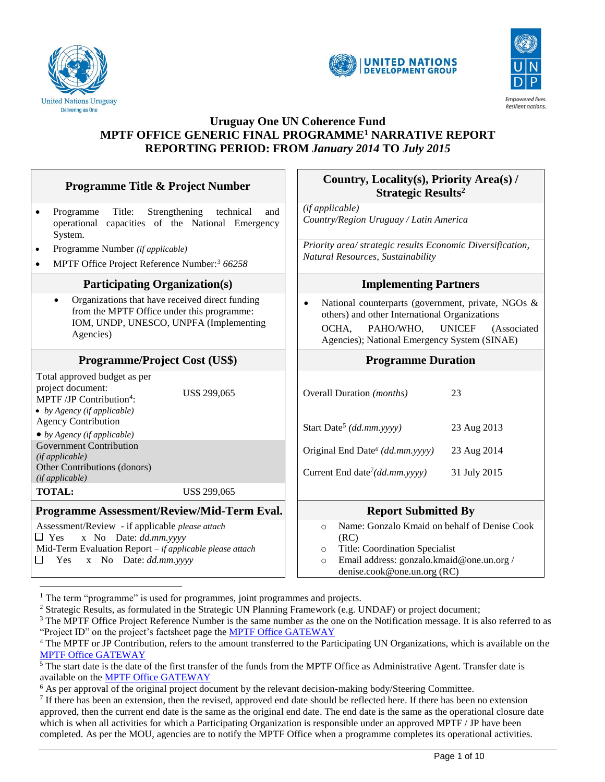

 $\overline{a}$ 





### **Uruguay One UN Coherence Fund MPTF OFFICE GENERIC FINAL PROGRAMME<sup>1</sup> NARRATIVE REPORT REPORTING PERIOD: FROM** *January 2014* **TO** *July 2015*

| <b>Programme Title &amp; Project Number</b>                                                                                                                                                  | Country, Locality(s), Priority Area(s) /<br><b>Strategic Results<sup>2</sup></b>                                                                                                                                       |  |
|----------------------------------------------------------------------------------------------------------------------------------------------------------------------------------------------|------------------------------------------------------------------------------------------------------------------------------------------------------------------------------------------------------------------------|--|
| Programme<br>Title:<br>Strengthening<br>technical<br>and<br>$\bullet$<br>operational capacities of the National Emergency<br>System.                                                         | (if applicable)<br>Country/Region Uruguay / Latin America                                                                                                                                                              |  |
| Programme Number (if applicable)<br>٠<br>MPTF Office Project Reference Number: <sup>3</sup> 66258                                                                                            | Priority area/ strategic results Economic Diversification,<br>Natural Resources, Sustainability                                                                                                                        |  |
| <b>Participating Organization(s)</b>                                                                                                                                                         | <b>Implementing Partners</b>                                                                                                                                                                                           |  |
| Organizations that have received direct funding<br>$\bullet$<br>from the MPTF Office under this programme:<br>IOM, UNDP, UNESCO, UNPFA (Implementing<br>Agencies)                            | National counterparts (government, private, NGOs &<br>$\bullet$<br>others) and other International Organizations<br>OCHA,<br>PAHO/WHO,<br><b>UNICEF</b><br>(Associated<br>Agencies); National Emergency System (SINAE) |  |
| <b>Programme/Project Cost (US\$)</b>                                                                                                                                                         | <b>Programme Duration</b>                                                                                                                                                                                              |  |
| Total approved budget as per<br>project document:<br>US\$ 299,065<br>MPTF/JP Contribution <sup>4</sup> :<br>• by Agency (if applicable)                                                      | Overall Duration (months)<br>23                                                                                                                                                                                        |  |
| <b>Agency Contribution</b><br>$\bullet$ by Agency (if applicable)                                                                                                                            | Start Date <sup>5</sup> (dd.mm.yyyy)<br>23 Aug 2013                                                                                                                                                                    |  |
| <b>Government Contribution</b><br>(if applicable)                                                                                                                                            | Original End Date <sup>6</sup> (dd.mm.yyyy)<br>23 Aug 2014                                                                                                                                                             |  |
| Other Contributions (donors)<br>(if applicable)                                                                                                                                              | Current End date <sup>7</sup> ( $dd$ mm.yyyy)<br>31 July 2015                                                                                                                                                          |  |
| <b>TOTAL:</b><br>US\$ 299,065                                                                                                                                                                |                                                                                                                                                                                                                        |  |
| Programme Assessment/Review/Mid-Term Eval.                                                                                                                                                   | <b>Report Submitted By</b>                                                                                                                                                                                             |  |
| Assessment/Review - if applicable please attach<br>x No Date: dd.mm.yyyy<br>$\Box$ Yes<br>Mid-Term Evaluation Report - if applicable please attach<br>x No Date: dd.mm.yyyy<br>$\Box$<br>Yes | Name: Gonzalo Kmaid on behalf of Denise Cook<br>$\circ$<br>(RC)<br>Title: Coordination Specialist<br>$\circ$<br>Email address: gonzalo.kmaid@one.un.org /<br>$\circ$<br>denise.cook@one.un.org (RC)                    |  |

<sup>&</sup>lt;sup>1</sup> The term "programme" is used for programmes, joint programmes and projects.

<sup>2</sup> Strategic Results, as formulated in the Strategic UN Planning Framework (e.g. UNDAF) or project document;

 $3$  The MPTF Office Project Reference Number is the same number as the one on the Notification message. It is also referred to as "Project ID" on the project's factsheet page the [MPTF Office GATEWAY](http://mdtf.undp.org/)

<sup>4</sup> The MPTF or JP Contribution, refers to the amount transferred to the Participating UN Organizations, which is available on the [MPTF Office GATEWAY](http://mdtf.undp.org/)

<sup>&</sup>lt;sup>5</sup> The start date is the date of the first transfer of the funds from the MPTF Office as Administrative Agent. Transfer date is available on the [MPTF Office GATEWAY](http://mdtf.undp.org/)

<sup>&</sup>lt;sup>6</sup> As per approval of the original project document by the relevant decision-making body/Steering Committee.

 $<sup>7</sup>$  If there has been an extension, then the revised, approved end date should be reflected here. If there has been no extension</sup> approved, then the current end date is the same as the original end date. The end date is the same as the operational closure date which is when all activities for which a Participating Organization is responsible under an approved MPTF / JP have been completed. As per the MOU, agencies are to notify the MPTF Office when a programme completes its operational activities.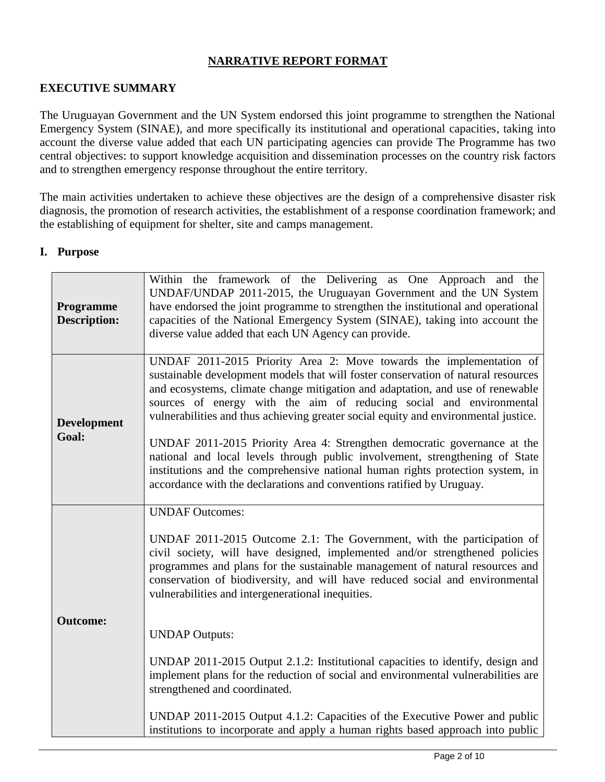# **NARRATIVE REPORT FORMAT**

# **EXECUTIVE SUMMARY**

The Uruguayan Government and the UN System endorsed this joint programme to strengthen the National Emergency System (SINAE), and more specifically its institutional and operational capacities, taking into account the diverse value added that each UN participating agencies can provide The Programme has two central objectives: to support knowledge acquisition and dissemination processes on the country risk factors and to strengthen emergency response throughout the entire territory.

The main activities undertaken to achieve these objectives are the design of a comprehensive disaster risk diagnosis, the promotion of research activities, the establishment of a response coordination framework; and the establishing of equipment for shelter, site and camps management.

#### **I. Purpose**

| Programme<br><b>Description:</b> | Within the framework of the Delivering as One Approach and the<br>UNDAF/UNDAP 2011-2015, the Uruguayan Government and the UN System<br>have endorsed the joint programme to strengthen the institutional and operational<br>capacities of the National Emergency System (SINAE), taking into account the<br>diverse value added that each UN Agency can provide.                                                                                                                                                                                                                                                                                                                                                                |
|----------------------------------|---------------------------------------------------------------------------------------------------------------------------------------------------------------------------------------------------------------------------------------------------------------------------------------------------------------------------------------------------------------------------------------------------------------------------------------------------------------------------------------------------------------------------------------------------------------------------------------------------------------------------------------------------------------------------------------------------------------------------------|
| <b>Development</b><br>Goal:      | UNDAF 2011-2015 Priority Area 2: Move towards the implementation of<br>sustainable development models that will foster conservation of natural resources<br>and ecosystems, climate change mitigation and adaptation, and use of renewable<br>sources of energy with the aim of reducing social and environmental<br>vulnerabilities and thus achieving greater social equity and environmental justice.<br>UNDAF 2011-2015 Priority Area 4: Strengthen democratic governance at the<br>national and local levels through public involvement, strengthening of State<br>institutions and the comprehensive national human rights protection system, in<br>accordance with the declarations and conventions ratified by Uruguay. |
|                                  | <b>UNDAF Outcomes:</b><br>UNDAF 2011-2015 Outcome 2.1: The Government, with the participation of<br>civil society, will have designed, implemented and/or strengthened policies<br>programmes and plans for the sustainable management of natural resources and<br>conservation of biodiversity, and will have reduced social and environmental                                                                                                                                                                                                                                                                                                                                                                                 |
| <b>Outcome:</b>                  | vulnerabilities and intergenerational inequities.<br><b>UNDAP</b> Outputs:<br>UNDAP 2011-2015 Output 2.1.2: Institutional capacities to identify, design and<br>implement plans for the reduction of social and environmental vulnerabilities are<br>strengthened and coordinated.                                                                                                                                                                                                                                                                                                                                                                                                                                              |
|                                  | UNDAP 2011-2015 Output 4.1.2: Capacities of the Executive Power and public<br>institutions to incorporate and apply a human rights based approach into public                                                                                                                                                                                                                                                                                                                                                                                                                                                                                                                                                                   |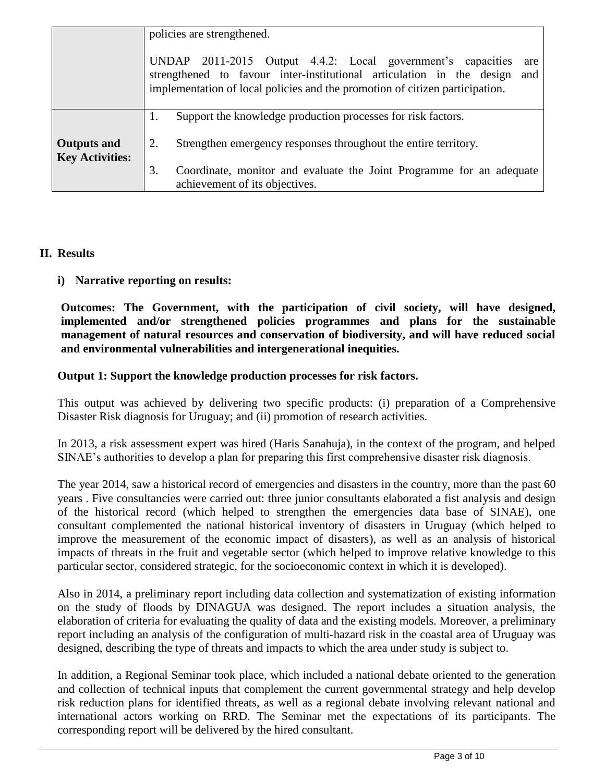|                                              | policies are strengthened.<br>UNDAP 2011-2015 Output 4.4.2: Local government's capacities<br>are<br>strengthened to favour inter-institutional articulation in the design and<br>implementation of local policies and the promotion of citizen participation. |
|----------------------------------------------|---------------------------------------------------------------------------------------------------------------------------------------------------------------------------------------------------------------------------------------------------------------|
| <b>Outputs and</b><br><b>Key Activities:</b> | Support the knowledge production processes for risk factors.<br>1.<br>Strengthen emergency responses throughout the entire territory.<br>2.                                                                                                                   |
|                                              | 3.<br>Coordinate, monitor and evaluate the Joint Programme for an adequate<br>achievement of its objectives.                                                                                                                                                  |

# **II. Results**

**i) Narrative reporting on results:**

**Outcomes: The Government, with the participation of civil society, will have designed, implemented and/or strengthened policies programmes and plans for the sustainable management of natural resources and conservation of biodiversity, and will have reduced social and environmental vulnerabilities and intergenerational inequities.**

### **Output 1: Support the knowledge production processes for risk factors.**

This output was achieved by delivering two specific products: (i) preparation of a Comprehensive Disaster Risk diagnosis for Uruguay; and (ii) promotion of research activities.

In 2013, a risk assessment expert was hired (Haris Sanahuja), in the context of the program, and helped SINAE's authorities to develop a plan for preparing this first comprehensive disaster risk diagnosis.

The year 2014, saw a historical record of emergencies and disasters in the country, more than the past 60 years . Five consultancies were carried out: three junior consultants elaborated a fist analysis and design of the historical record (which helped to strengthen the emergencies data base of SINAE), one consultant complemented the national historical inventory of disasters in Uruguay (which helped to improve the measurement of the economic impact of disasters), as well as an analysis of historical impacts of threats in the fruit and vegetable sector (which helped to improve relative knowledge to this particular sector, considered strategic, for the socioeconomic context in which it is developed).

Also in 2014, a preliminary report including data collection and systematization of existing information on the study of floods by DINAGUA was designed. The report includes a situation analysis, the elaboration of criteria for evaluating the quality of data and the existing models. Moreover, a preliminary report including an analysis of the configuration of multi-hazard risk in the coastal area of Uruguay was designed, describing the type of threats and impacts to which the area under study is subject to.

In addition, a Regional Seminar took place, which included a national debate oriented to the generation and collection of technical inputs that complement the current governmental strategy and help develop risk reduction plans for identified threats, as well as a regional debate involving relevant national and international actors working on RRD. The Seminar met the expectations of its participants. The corresponding report will be delivered by the hired consultant.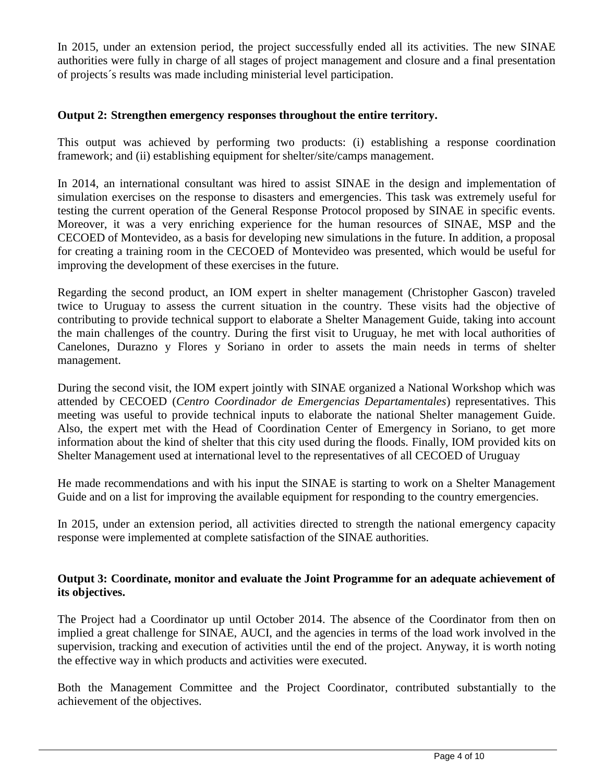In 2015, under an extension period, the project successfully ended all its activities. The new SINAE authorities were fully in charge of all stages of project management and closure and a final presentation of projects´s results was made including ministerial level participation.

#### **Output 2: Strengthen emergency responses throughout the entire territory.**

This output was achieved by performing two products: (i) establishing a response coordination framework; and (ii) establishing equipment for shelter/site/camps management.

In 2014, an international consultant was hired to assist SINAE in the design and implementation of simulation exercises on the response to disasters and emergencies. This task was extremely useful for testing the current operation of the General Response Protocol proposed by SINAE in specific events. Moreover, it was a very enriching experience for the human resources of SINAE, MSP and the CECOED of Montevideo, as a basis for developing new simulations in the future. In addition, a proposal for creating a training room in the CECOED of Montevideo was presented, which would be useful for improving the development of these exercises in the future.

Regarding the second product, an IOM expert in shelter management (Christopher Gascon) traveled twice to Uruguay to assess the current situation in the country. These visits had the objective of contributing to provide technical support to elaborate a Shelter Management Guide, taking into account the main challenges of the country. During the first visit to Uruguay, he met with local authorities of Canelones, Durazno y Flores y Soriano in order to assets the main needs in terms of shelter management.

During the second visit, the IOM expert jointly with SINAE organized a National Workshop which was attended by CECOED (*Centro Coordinador de Emergencias Departamentales*) representatives. This meeting was useful to provide technical inputs to elaborate the national Shelter management Guide. Also, the expert met with the Head of Coordination Center of Emergency in Soriano, to get more information about the kind of shelter that this city used during the floods. Finally, IOM provided kits on Shelter Management used at international level to the representatives of all CECOED of Uruguay

He made recommendations and with his input the SINAE is starting to work on a Shelter Management Guide and on a list for improving the available equipment for responding to the country emergencies.

In 2015, under an extension period, all activities directed to strength the national emergency capacity response were implemented at complete satisfaction of the SINAE authorities.

### **Output 3: Coordinate, monitor and evaluate the Joint Programme for an adequate achievement of its objectives.**

The Project had a Coordinator up until October 2014. The absence of the Coordinator from then on implied a great challenge for SINAE, AUCI, and the agencies in terms of the load work involved in the supervision, tracking and execution of activities until the end of the project. Anyway, it is worth noting the effective way in which products and activities were executed.

Both the Management Committee and the Project Coordinator, contributed substantially to the achievement of the objectives.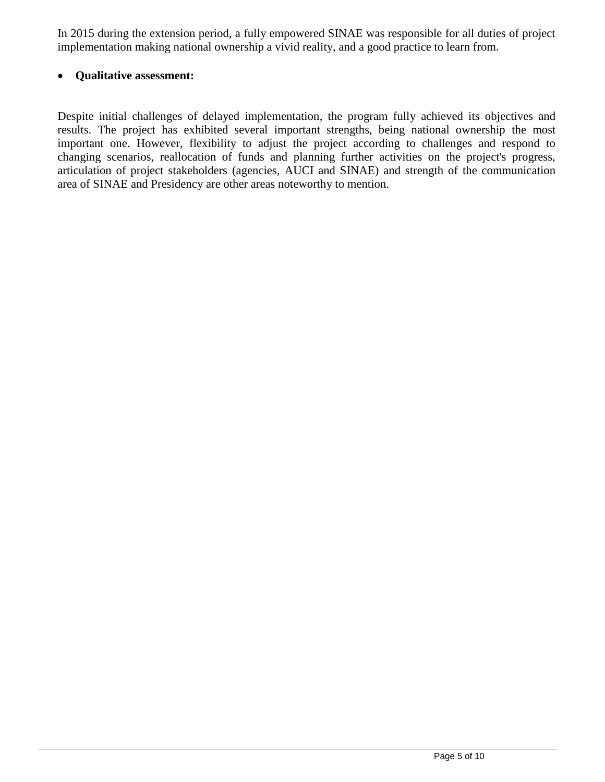In 2015 during the extension period, a fully empowered SINAE was responsible for all duties of project implementation making national ownership a vivid reality, and a good practice to learn from.

### **Qualitative assessment:**

Despite initial challenges of delayed implementation, the program fully achieved its objectives and results. The project has exhibited several important strengths, being national ownership the most important one. However, flexibility to adjust the project according to challenges and respond to changing scenarios, reallocation of funds and planning further activities on the project's progress, articulation of project stakeholders (agencies, AUCI and SINAE) and strength of the communication area of SINAE and Presidency are other areas noteworthy to mention.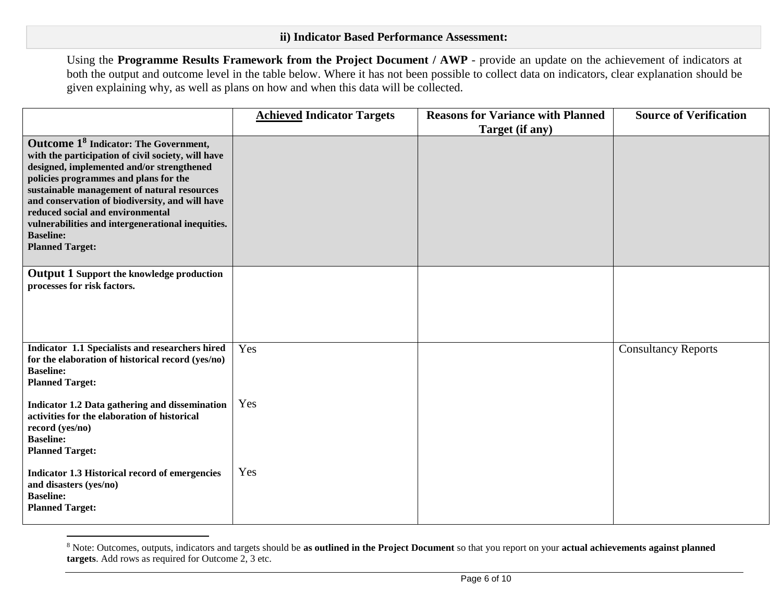Using the **Programme Results Framework from the Project Document / AWP** - provide an update on the achievement of indicators at both the output and outcome level in the table below. Where it has not been possible to collect data on indicators, clear explanation should be given explaining why, as well as plans on how and when this data will be collected.

|                                                                                                                                                                                                                                                                                                                                                                                                                                        | <b>Achieved Indicator Targets</b> | <b>Reasons for Variance with Planned</b><br>Target (if any) | <b>Source of Verification</b> |
|----------------------------------------------------------------------------------------------------------------------------------------------------------------------------------------------------------------------------------------------------------------------------------------------------------------------------------------------------------------------------------------------------------------------------------------|-----------------------------------|-------------------------------------------------------------|-------------------------------|
| Outcome 1 <sup>8</sup> Indicator: The Government,<br>with the participation of civil society, will have<br>designed, implemented and/or strengthened<br>policies programmes and plans for the<br>sustainable management of natural resources<br>and conservation of biodiversity, and will have<br>reduced social and environmental<br>vulnerabilities and intergenerational inequities.<br><b>Baseline:</b><br><b>Planned Target:</b> |                                   |                                                             |                               |
| <b>Output 1 Support the knowledge production</b><br>processes for risk factors.                                                                                                                                                                                                                                                                                                                                                        |                                   |                                                             |                               |
| Indicator 1.1 Specialists and researchers hired<br>for the elaboration of historical record (yes/no)<br><b>Baseline:</b><br><b>Planned Target:</b>                                                                                                                                                                                                                                                                                     | Yes                               |                                                             | <b>Consultancy Reports</b>    |
| Indicator 1.2 Data gathering and dissemination<br>activities for the elaboration of historical<br>record (yes/no)<br><b>Baseline:</b><br><b>Planned Target:</b>                                                                                                                                                                                                                                                                        | Yes                               |                                                             |                               |
| Indicator 1.3 Historical record of emergencies<br>and disasters (yes/no)<br><b>Baseline:</b><br><b>Planned Target:</b>                                                                                                                                                                                                                                                                                                                 | Yes                               |                                                             |                               |

<sup>8</sup> Note: Outcomes, outputs, indicators and targets should be **as outlined in the Project Document** so that you report on your **actual achievements against planned targets**. Add rows as required for Outcome 2, 3 etc.

 $\overline{a}$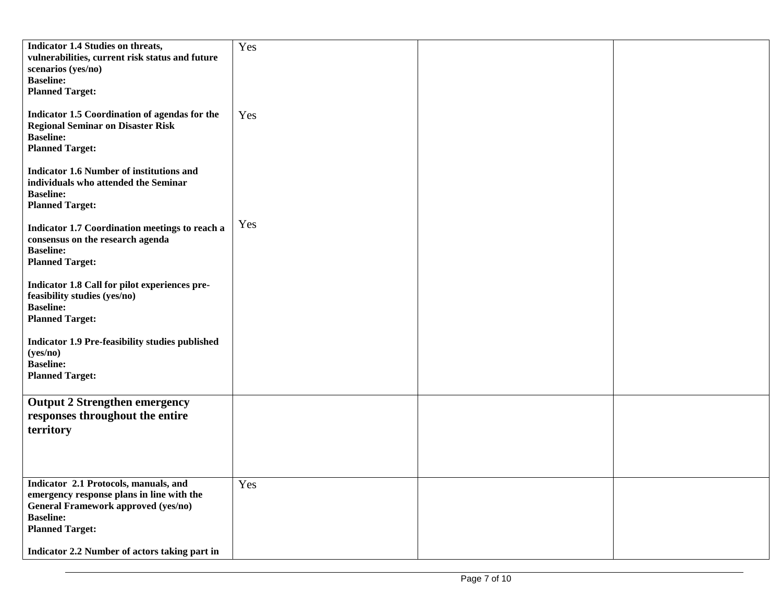| <b>Indicator 1.4 Studies on threats,</b>                                      | Yes |  |
|-------------------------------------------------------------------------------|-----|--|
| vulnerabilities, current risk status and future                               |     |  |
| scenarios (yes/no)<br><b>Baseline:</b>                                        |     |  |
| <b>Planned Target:</b>                                                        |     |  |
|                                                                               |     |  |
| Indicator 1.5 Coordination of agendas for the                                 | Yes |  |
| <b>Regional Seminar on Disaster Risk</b>                                      |     |  |
| <b>Baseline:</b><br><b>Planned Target:</b>                                    |     |  |
|                                                                               |     |  |
| <b>Indicator 1.6 Number of institutions and</b>                               |     |  |
| individuals who attended the Seminar                                          |     |  |
| <b>Baseline:</b>                                                              |     |  |
| <b>Planned Target:</b>                                                        |     |  |
| Indicator 1.7 Coordination meetings to reach a                                | Yes |  |
| consensus on the research agenda                                              |     |  |
| <b>Baseline:</b>                                                              |     |  |
| <b>Planned Target:</b>                                                        |     |  |
|                                                                               |     |  |
| Indicator 1.8 Call for pilot experiences pre-<br>feasibility studies (yes/no) |     |  |
| <b>Baseline:</b>                                                              |     |  |
| <b>Planned Target:</b>                                                        |     |  |
|                                                                               |     |  |
| <b>Indicator 1.9 Pre-feasibility studies published</b>                        |     |  |
| (yes/no)<br><b>Baseline:</b>                                                  |     |  |
| <b>Planned Target:</b>                                                        |     |  |
|                                                                               |     |  |
| <b>Output 2 Strengthen emergency</b>                                          |     |  |
| responses throughout the entire                                               |     |  |
| territory                                                                     |     |  |
|                                                                               |     |  |
|                                                                               |     |  |
|                                                                               |     |  |
| Indicator 2.1 Protocols, manuals, and                                         | Yes |  |
| emergency response plans in line with the                                     |     |  |
| <b>General Framework approved (yes/no)</b><br><b>Baseline:</b>                |     |  |
| <b>Planned Target:</b>                                                        |     |  |
|                                                                               |     |  |
| Indicator 2.2 Number of actors taking part in                                 |     |  |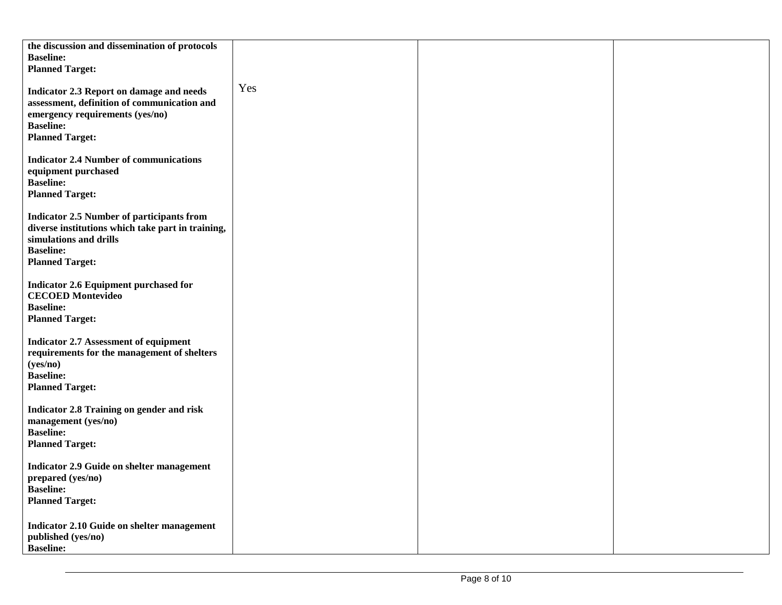| the discussion and dissemination of protocols<br><b>Baseline:</b><br><b>Planned Target:</b>                                                                                   |     |  |
|-------------------------------------------------------------------------------------------------------------------------------------------------------------------------------|-----|--|
| Indicator 2.3 Report on damage and needs<br>assessment, definition of communication and<br>emergency requirements (yes/no)<br><b>Baseline:</b><br><b>Planned Target:</b>      | Yes |  |
| <b>Indicator 2.4 Number of communications</b><br>equipment purchased<br><b>Baseline:</b><br><b>Planned Target:</b>                                                            |     |  |
| <b>Indicator 2.5 Number of participants from</b><br>diverse institutions which take part in training,<br>simulations and drills<br><b>Baseline:</b><br><b>Planned Target:</b> |     |  |
| <b>Indicator 2.6 Equipment purchased for</b><br><b>CECOED Montevideo</b><br><b>Baseline:</b><br><b>Planned Target:</b>                                                        |     |  |
| <b>Indicator 2.7 Assessment of equipment</b><br>requirements for the management of shelters<br>(yes/no)<br><b>Baseline:</b><br><b>Planned Target:</b>                         |     |  |
| Indicator 2.8 Training on gender and risk<br>management (yes/no)<br><b>Baseline:</b><br><b>Planned Target:</b>                                                                |     |  |
| Indicator 2.9 Guide on shelter management<br>prepared (yes/no)<br><b>Baseline:</b><br><b>Planned Target:</b>                                                                  |     |  |
| Indicator 2.10 Guide on shelter management<br>published (yes/no)<br><b>Baseline:</b>                                                                                          |     |  |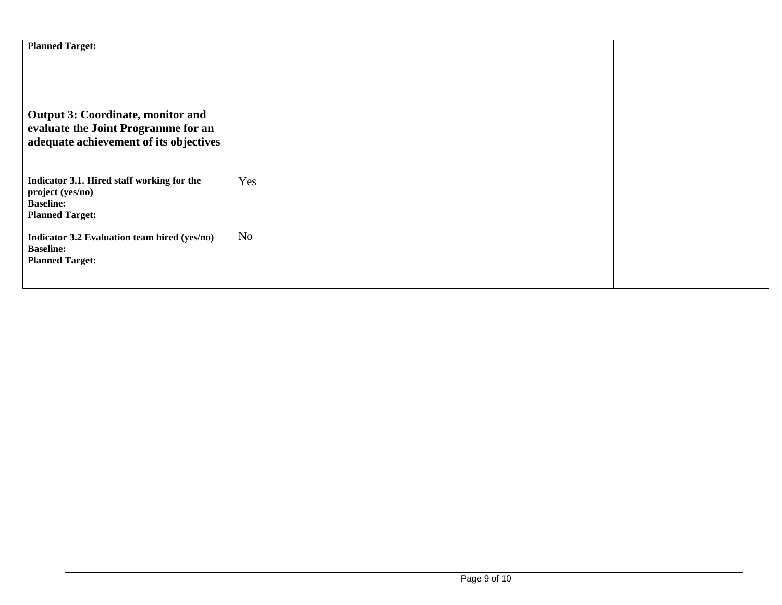| <b>Planned Target:</b>                                                                                             |                |  |
|--------------------------------------------------------------------------------------------------------------------|----------------|--|
| Output 3: Coordinate, monitor and<br>evaluate the Joint Programme for an<br>adequate achievement of its objectives |                |  |
| Indicator 3.1. Hired staff working for the<br>project (yes/no)<br><b>Baseline:</b><br><b>Planned Target:</b>       | Yes            |  |
| Indicator 3.2 Evaluation team hired (yes/no)<br><b>Baseline:</b><br><b>Planned Target:</b>                         | N <sub>o</sub> |  |